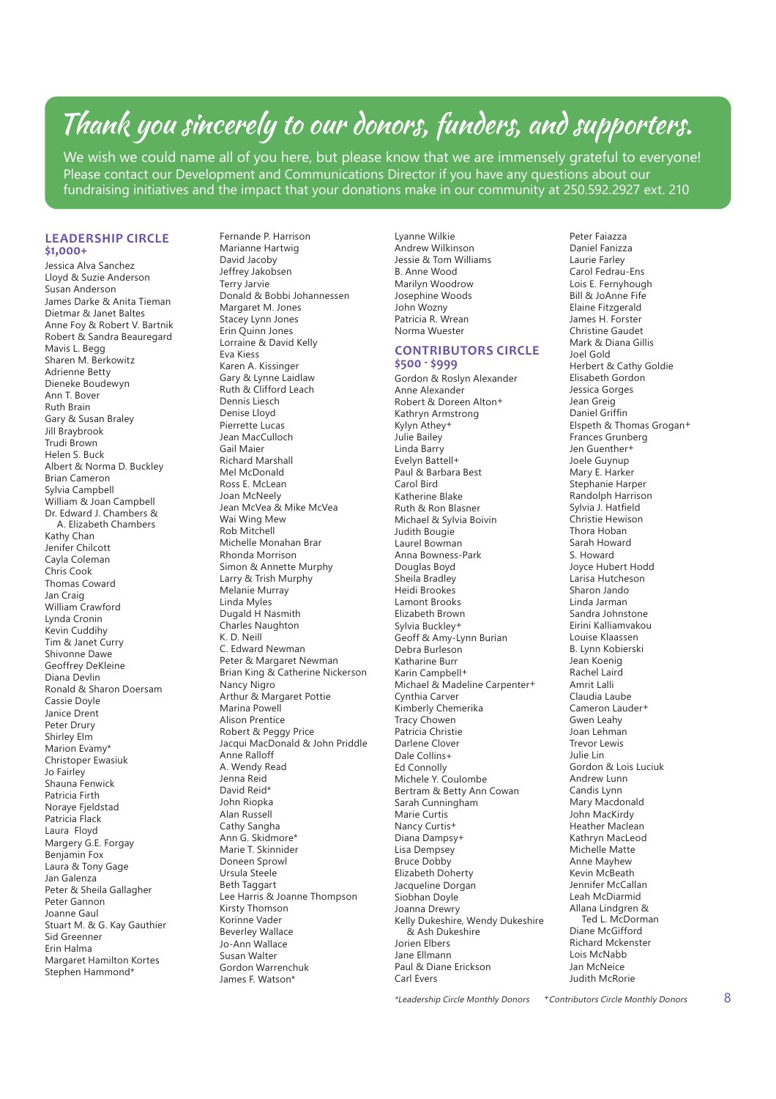# Thank you sincerely to our donors, funders, and supporters.

We wish we could name all of you here, but please know that we are immensely grateful to everyone! Please contact our Development and Communications Director if you have any questions about our fundraising initiatives and the impact that your donations make in our community at 250.592.2927 ext. 210

## **LEADERSHIP CIRCLE \$1,000+**

Jessica Alva Sanchez Lloyd & Suzie Anderson Susan Anderson James Darke & Anita Tieman Dietmar & Janet Baltes Anne Foy & Robert V. Bartnik Robert & Sandra Beauregard Mavis L. Begg Sharen M. Berkowitz Adrienne Betty Dieneke Boudewyn Ann T. Bover Ruth Brain Gary & Susan Braley Jill Braybrook Trudi Brown Helen S. Buck Albert & Norma D. Buckley Brian Cameron Sylvia Campbell William & Joan Campbell Dr. Edward J. Chambers & A. Elizabeth Chambers Kathy Chan Jenifer Chilcott Cayla Coleman Chris Cook Thomas Coward Jan Craig William Crawford Lynda Cronin Kevin Cuddihy Tim & Janet Curry Shivonne Dawe Geoffrey DeKleine Diana Devlin Ronald & Sharon Doersam Cassie Doyle Janice Drent Peter Drury Shirley Elm Marion Evamy\* Christoper Ewasiuk Jo Fairley Shauna Fenwick Patricia Firth Noraye Fjeldstad Patricia Flack Laura Floyd Margery G.E. Forgay Benjamin Fox Laura & Tony Gage Jan Galenza Peter & Sheila Gallagher Peter Gannon Joanne Gaul Stuart M. & G. Kay Gauthier Sid Greenner Erin Halma Margaret Hamilton Kortes Stephen Hammond\*

Fernande P. Harrison Marianne Hartwig David Jacoby Jeffrey Jakobsen Terry Jarvie Donald & Bobbi Johannessen Margaret M. Jones Stacey Lynn Jones Erin Quinn Jones Lorraine & David Kelly Eva Kiess Karen A. Kissinger Gary & Lynne Laidlaw Ruth & Clifford Leach Dennis Liesch Denise Lloyd Pierrette Lucas Jean MacCulloch Gail Maier Richard Marshall Mel McDonald Ross E. McLean Joan McNeely Jean McVea & Mike McVea Wai Wing Mew Rob Mitchell Michelle Monahan Brar Rhonda Morrison Simon & Annette Murphy Larry & Trish Murphy Melanie Murray Linda Myles Dugald H Nasmith Charles Naughton K. D. Neill C. Edward Newman Peter & Margaret Newman Brian King & Catherine Nickerson Nancy Nigro Arthur & Margaret Pottie Marina Powell Alison Prentice Robert & Peggy Price Jacqui MacDonald & John Priddle Anne Ralloff A. Wendy Read Jenna Reid David Reid\* John Riopka Alan Russell Cathy Sangha Ann G. Skidmore\* Marie T. Skinnider Doneen Sprowl Ursula Steele Beth Taggart Lee Harris & Joanne Thompson Kirsty Thomson Korinne Vader Beverley Wallace Jo-Ann Wallace Susan Walter Gordon Warrenchuk James F. Watson\*

Lyanne Wilkie Andrew Wilkinson Jessie & Tom Williams B. Anne Wood Marilyn Woodrow Josephine Woods John Wozny Patricia R. Wrean Norma Wuester

## **CONTRIBUTORS CIRCLE \$500 - \$999**

Gordon & Roslyn Alexander Anne Alexander Robert & Doreen Alton+ Kathryn Armstrong Kylyn Athey+ Julie Bailey Linda Barry Evelyn Battell+ Paul & Barbara Best Carol Bird Katherine Blake Ruth & Ron Blasner Michael & Sylvia Boivin Judith Bougie Laurel Bowman Anna Bowness-Park Douglas Boyd Sheila Bradley Heidi Brookes Lamont Brooks Elizabeth Brown Sylvia Buckley+ Geoff & Amy-Lynn Burian Debra Burleson Katharine Burr Karin Campbell+ Michael & Madeline Carpenter+ Cynthia Carver Kimberly Chemerika Tracy Chowen Patricia Christie Darlene Clover Dale Collins+ Ed Connolly Michele Y. Coulombe Bertram & Betty Ann Cowan Sarah Cunningham Marie Curtis Nancy Curtis+ Diana Dampsy+ Lisa Dempsey Bruce Dobby Elizabeth Doherty Jacqueline Dorgan Siobhan Doyle Joanna Drewry Kelly Dukeshire, Wendy Dukeshire & Ash Dukeshire Jorien Elbers Jane Ellmann Paul & Diane Erickson Carl Evers

Peter Faiazza Daniel Fanizza Laurie Farley Carol Fedrau-Ens Lois E. Fernyhough Bill & JoAnne Fife Elaine Fitzgerald James H. Forster Christine Gaudet Mark & Diana Gillis Joel Gold Herbert & Cathy Goldie Elisabeth Gordon Jessica Gorges Jean Greig Daniel Griffin Elspeth & Thomas Grogan+ Frances Grunberg Jen Guenther+ Joele Guynup Mary E. Harker Stephanie Harper Randolph Harrison Sylvia J. Hatfield Christie Hewison Thora Hoban Sarah Howard S. Howard Joyce Hubert Hodd Larisa Hutcheson Sharon Jando Linda Jarman Sandra Johnstone Eirini Kalliamvakou Louise Klaassen B. Lynn Kobierski Jean Koenig Rachel Laird Amrit Lalli Claudia Laube Cameron Lauder+ Gwen Leahy Joan Lehman Trevor Lewis Julie Lin Gordon & Lois Luciuk Andrew Lunn Candis Lynn Mary Macdonald John MacKirdy Heather Maclean Kathryn MacLeod Michelle Matte Anne Mayhew Kevin McBeath Jennifer McCallan Leah McDiarmid Allana Lindgren & Ted L. McDorman Diane McGifford Richard Mckenster Lois McNabb Jan McNeice Judith McRorie

\*Leadership Circle Monthly Donors  $+$  Contributors Circle Monthly Donors  $8$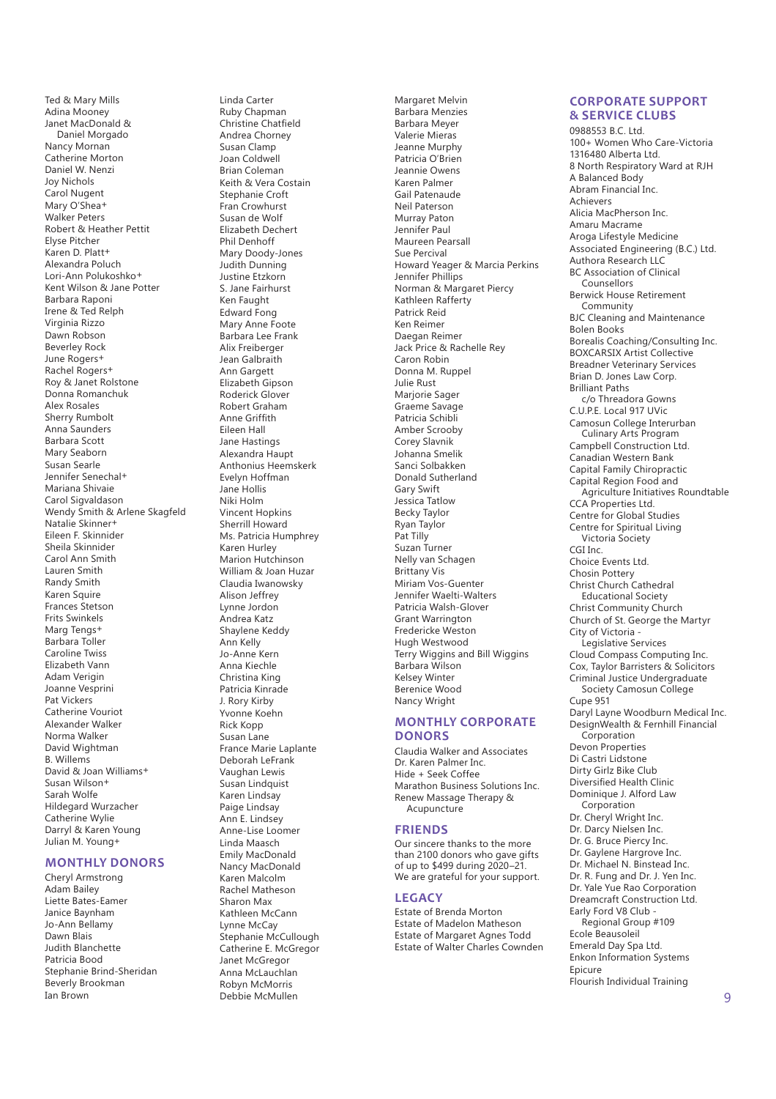Ted & Mary Mills Adina Mooney Janet MacDonald & Daniel Morgado Nancy Mornan Catherine Morton Daniel W. Nenzi Joy Nichols Carol Nugent Mary O'Shea+ Walker Peters Robert & Heather Pettit Elyse Pitcher Karen D. Platt+ Alexandra Poluch Lori-Ann Polukoshko+ Kent Wilson & Jane Potter Barbara Raponi Irene & Ted Relph Virginia Rizzo Dawn Robson Beverley Rock June Rogers+ Rachel Rogers+ Roy & Janet Rolstone Donna Romanchuk Alex Rosales Sherry Rumbolt Anna Saunders Barbara Scott Mary Seaborn Susan Searle Jennifer Senechal+ Mariana Shivaie Carol Sigvaldason Wendy Smith & Arlene Skagfeld Natalie Skinner+ Eileen F. Skinnider Sheila Skinnider Carol Ann Smith Lauren Smith Randy Smith Karen Squire Frances Stetson Frits Swinkels Marg Tengs+ Barbara Toller Caroline Twiss Elizabeth Vann Adam Verigin Joanne Vesprini Pat Vickers Catherine Vouriot Alexander Walker Norma Walker David Wightman B. Willems David & Joan Williams+ Susan Wilson+ Sarah Wolfe Hildegard Wurzacher Catherine Wylie Darryl & Karen Young Julian M. Young+

# **MONTHLY DONORS**

Cheryl Armstrong Adam Bailey Liette Bates-Eamer Janice Baynham Jo-Ann Bellamy Dawn Blais Judith Blanchette Patricia Bood Stephanie Brind-Sheridan Beverly Brookman Ian Brown 9

Linda Carter Ruby Chapman Christine Chatfield Andrea Chorney Susan Clamp Joan Coldwell Brian Coleman Keith & Vera Costain Stephanie Croft Fran Crowhurst Susan de Wolf Elizabeth Dechert Phil Denhoff Mary Doody-Jones Judith Dunning Justine Etzkorn S. Jane Fairhurst Ken Faught Edward Fong Mary Anne Foote Barbara Lee Frank Alix Freiberger Jean Galbraith Ann Gargett Elizabeth Gipson Roderick Glover Robert Graham **Anne Griffith** Eileen Hall Jane Hastings Alexandra Haupt Anthonius Heemskerk Evelyn Hoffman Jane Hollis Niki Holm Vincent Hopkins Sherrill Howard Ms. Patricia Humphrey Karen Hurley Marion Hutchinson William & Joan Huzar Claudia Iwanowsky Alison Jeffrey Lynne Jordon Andrea Katz Shaylene Keddy Ann Kelly Jo-Anne Kern Anna Kiechle Christina King Patricia Kinrade J. Rory Kirby Yvonne Koehn Rick Kopp Susan Lane France Marie Laplante Deborah LeFrank Vaughan Lewis Susan Lindquist Karen Lindsay Paige Lindsay Ann E. Lindsey Anne-Lise Loomer Linda Maasch Emily MacDonald Nancy MacDonald Karen Malcolm Rachel Matheson Sharon Max Kathleen McCann Lynne McCay Stephanie McCullough Catherine E. McGregor Janet McGregor Anna McLauchlan Robyn McMorris

Debbie McMullen

Margaret Melvin Barbara Menzies Barbara Meyer Valerie Mieras Jeanne Murphy Patricia O'Brien Jeannie Owens Karen Palmer Gail Patenaude Neil Paterson Murray Paton Jennifer Paul Maureen Pearsall Sue Percival Howard Yeager & Marcia Perkins Jennifer Phillips Norman & Margaret Piercy Kathleen Rafferty Patrick Reid Ken Reimer Daegan Reimer Jack Price & Rachelle Rey Caron Robin Donna M. Ruppel Julie Rust Marjorie Sager Graeme Savage Patricia Schibli Amber Scrooby Corey Slavnik Johanna Smelik Sanci Solbakken Donald Sutherland Gary Swift Jessica Tatlow Becky Taylor Ryan Taylor Pat Tilly Suzan Turner Nelly van Schagen Brittany Vis Miriam Vos-Guenter Jennifer Waelti-Walters Patricia Walsh-Glover Grant Warrington Fredericke Weston Hugh Westwood Terry Wiggins and Bill Wiggins Barbara Wilson Kelsey Winter Berenice Wood Nancy Wright

# **MONTHLY CORPORATE DONORS**

Claudia Walker and Associates Dr. Karen Palmer Inc. Hide + Seek Coffee Marathon Business Solutions Inc. Renew Massage Therapy & **Acupuncture** 

## **FRIENDS**

Our sincere thanks to the more than 2100 donors who gave gifts of up to \$499 during 2020–21. We are grateful for your support.

### **LEGACY**

Estate of Brenda Morton Estate of Madelon Matheson Estate of Margaret Agnes Todd Estate of Walter Charles Cownden

## **CORPORATE SUPPORT & SERVICE CLUBS**

0988553 B.C. Ltd. 100+ Women Who Care-Victoria 1316480 Alberta Ltd. 8 North Respiratory Ward at RJH A Balanced Body Abram Financial Inc. Achievers Alicia MacPherson Inc. Amaru Macrame Aroga Lifestyle Medicine Associated Engineering (B.C.) Ltd. Authora Research LLC BC Association of Clinical **Counsellors** Berwick House Retirement Community BJC Cleaning and Maintenance Bolen Books Borealis Coaching/Consulting Inc. BOXCARSIX Artist Collective Breadner Veterinary Services Brian D. Jones Law Corp. Brilliant Paths c/o Threadora Gowns C.U.P.E. Local 917 UVic Camosun College Interurban Culinary Arts Program Campbell Construction Ltd. Canadian Western Bank Capital Family Chiropractic Capital Region Food and Agriculture Initiatives Roundtable CCA Properties Ltd. Centre for Global Studies Centre for Spiritual Living Victoria Society CGI Inc. Choice Events Ltd. Chosin Pottery Christ Church Cathedral Educational Society Christ Community Church Church of St. George the Martyr City of Victoria - Legislative Services Cloud Compass Computing Inc. Cox, Taylor Barristers & Solicitors Criminal Justice Undergraduate Society Camosun College Cupe 951 Daryl Layne Woodburn Medical Inc. DesignWealth & Fernhill Financial Corporation Devon Properties Di Castri Lidstone Dirty Girlz Bike Club Diversifed Health Clinic Dominique J. Alford Law Corporation Dr. Cheryl Wright Inc. Dr. Darcy Nielsen Inc. Dr. G. Bruce Piercy Inc. Dr. Gaylene Hargrove Inc. Dr. Michael N. Binstead Inc. Dr. R. Fung and Dr. J. Yen Inc. Dr. Yale Yue Rao Corporation Dreamcraft Construction Ltd. Early Ford V8 Club - Regional Group #109 Ecole Beausoleil Emerald Day Spa Ltd. Enkon Information Systems Epicure Flourish Individual Training